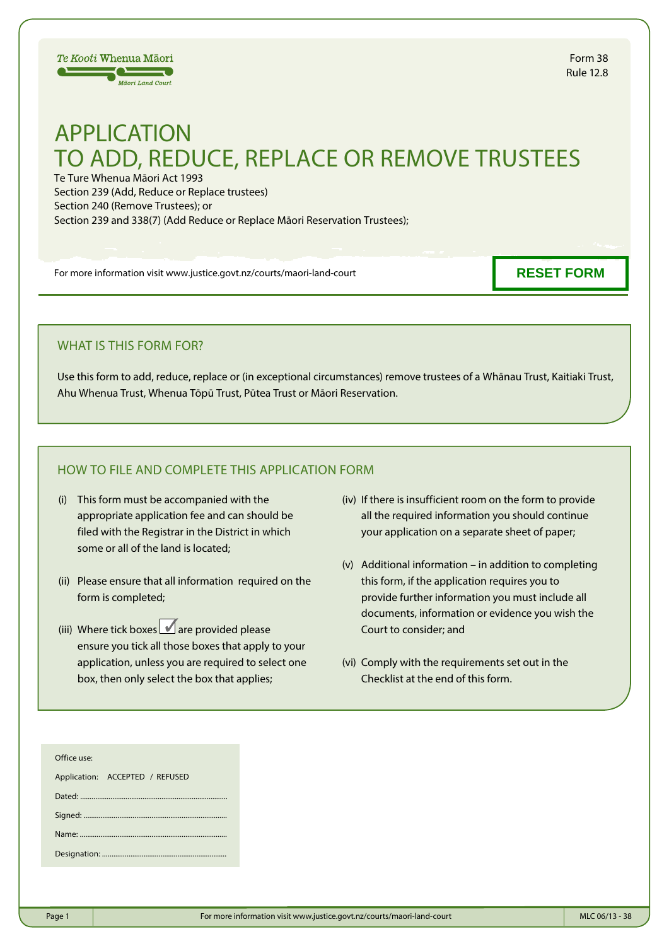

# APPLICATION TO ADD, REDUCE, REPLACE OR REMOVE TRUSTEES

Te Ture Whenua Māori Act 1993 Section 239 (Add, Reduce or Replace trustees) Section 240 (Remove Trustees); or Section 239 and 338(7) (Add Reduce or Replace Māori Reservation Trustees);

For more information visit www.justice.govt.nz/courts/maori-land-court

**RESET FORM**

## WHAT IS THIS FORM FOR?

Use this form to add, reduce, replace or (in exceptional circumstances) remove trustees of a Whānau Trust, Kaitiaki Trust, Ahu Whenua Trust, Whenua Tōpū Trust, Pūtea Trust or Māori Reservation.

## HOW TO FILE AND COMPLETE THIS APPLICATION FORM

- (i) This form must be accompanied with the appropriate application fee and can should be filed with the Registrar in the District in which some or all of the land is located;
- (ii) Please ensure that all information required on the form is completed;
- (iii) Where tick boxes  $\Box$  are provided please ensure you tick all those boxes that apply to your application, unless you are required to select one box, then only select the box that applies;
- (iv) If there is insufficient room on the form to provide all the required information you should continue your application on a separate sheet of paper;
- (v) Additional information in addition to completing this form, if the application requires you to provide further information you must include all documents, information or evidence you wish the Court to consider; and
- (vi) Comply with the requirements set out in the Checklist at the end of this form.

| Office use: |  |
|-------------|--|
|-------------|--|

| Application: ACCEPTED / REFUSED |  |  |
|---------------------------------|--|--|
|                                 |  |  |
|                                 |  |  |
|                                 |  |  |
|                                 |  |  |
|                                 |  |  |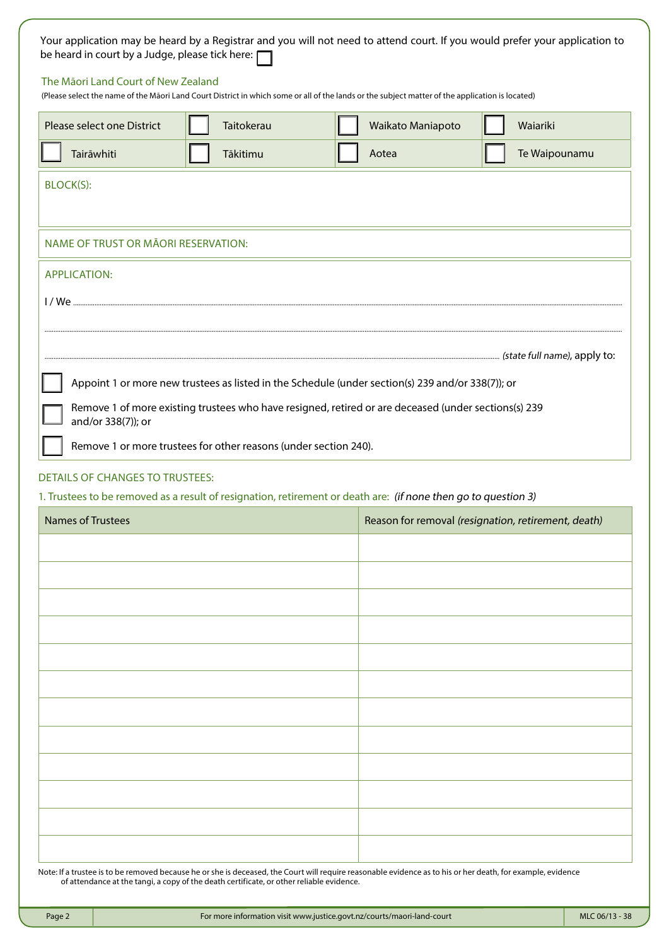| be heard in court by a Judge, please tick here: $\Box$ |                                                                                                                                                                       |                                                                                                                                                                                                           | Your application may be heard by a Registrar and you will not need to attend court. If you would prefer your application to |
|--------------------------------------------------------|-----------------------------------------------------------------------------------------------------------------------------------------------------------------------|-----------------------------------------------------------------------------------------------------------------------------------------------------------------------------------------------------------|-----------------------------------------------------------------------------------------------------------------------------|
| The Māori Land Court of New Zealand                    |                                                                                                                                                                       | (Please select the name of the Māori Land Court District in which some or all of the lands or the subject matter of the application is located)                                                           |                                                                                                                             |
| Please select one District                             | Taitokerau                                                                                                                                                            | Waikato Maniapoto                                                                                                                                                                                         | Waiariki                                                                                                                    |
| Tairāwhiti                                             | Tākitimu                                                                                                                                                              | Aotea                                                                                                                                                                                                     | Te Waipounamu                                                                                                               |
| BLOCK(S):                                              |                                                                                                                                                                       |                                                                                                                                                                                                           |                                                                                                                             |
| NAME OF TRUST OR MĀORI RESERVATION:                    |                                                                                                                                                                       |                                                                                                                                                                                                           |                                                                                                                             |
| <b>APPLICATION:</b>                                    |                                                                                                                                                                       |                                                                                                                                                                                                           |                                                                                                                             |
|                                                        |                                                                                                                                                                       |                                                                                                                                                                                                           |                                                                                                                             |
|                                                        |                                                                                                                                                                       |                                                                                                                                                                                                           |                                                                                                                             |
|                                                        |                                                                                                                                                                       |                                                                                                                                                                                                           |                                                                                                                             |
| and/or 338(7)); or                                     | Remove 1 or more trustees for other reasons (under section 240).                                                                                                      | Appoint 1 or more new trustees as listed in the Schedule (under section(s) 239 and/or 338(7)); or<br>Remove 1 of more existing trustees who have resigned, retired or are deceased (under sections(s) 239 |                                                                                                                             |
| <b>DETAILS OF CHANGES TO TRUSTEES:</b>                 |                                                                                                                                                                       |                                                                                                                                                                                                           |                                                                                                                             |
| <b>Names of Trustees</b>                               | 1. Trustees to be removed as a result of resignation, retirement or death are: (if none then go to question 3)<br>Reason for removal (resignation, retirement, death) |                                                                                                                                                                                                           |                                                                                                                             |
|                                                        |                                                                                                                                                                       |                                                                                                                                                                                                           |                                                                                                                             |
|                                                        |                                                                                                                                                                       |                                                                                                                                                                                                           |                                                                                                                             |
|                                                        |                                                                                                                                                                       |                                                                                                                                                                                                           |                                                                                                                             |
|                                                        |                                                                                                                                                                       |                                                                                                                                                                                                           |                                                                                                                             |
|                                                        |                                                                                                                                                                       |                                                                                                                                                                                                           |                                                                                                                             |
|                                                        |                                                                                                                                                                       |                                                                                                                                                                                                           |                                                                                                                             |
|                                                        |                                                                                                                                                                       |                                                                                                                                                                                                           |                                                                                                                             |
|                                                        |                                                                                                                                                                       |                                                                                                                                                                                                           |                                                                                                                             |
|                                                        |                                                                                                                                                                       |                                                                                                                                                                                                           |                                                                                                                             |
|                                                        |                                                                                                                                                                       |                                                                                                                                                                                                           |                                                                                                                             |
|                                                        |                                                                                                                                                                       |                                                                                                                                                                                                           |                                                                                                                             |
|                                                        |                                                                                                                                                                       |                                                                                                                                                                                                           |                                                                                                                             |

Note: If a trustee is to be removed because he or she is deceased, the Court will require reasonable evidence as to his or her death, for example, evidence of attendance at the tangi, a copy of the death certificate, or other reliable evidence.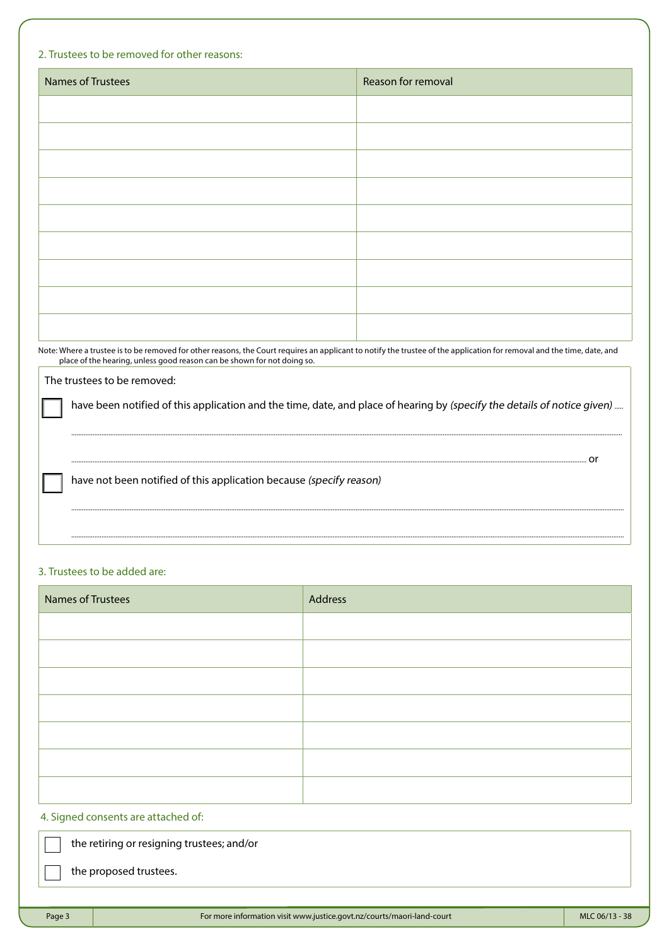## 2. Trustees to be removed for other reasons:

| Names of Trustees | Reason for removal |
|-------------------|--------------------|
|                   |                    |
|                   |                    |
|                   |                    |
|                   |                    |
|                   |                    |
|                   |                    |
|                   |                    |
|                   |                    |
|                   |                    |

Note: Where a trustee is to be removed for other reasons, the Court requires an applicant to notify the trustee of the application for removal and the time, date, and place of the hearing, unless good reason can be shown for not doing so.

## The trustees to be removed:

have been notified of this application and the time, date, and place of hearing by (specify the details of notice given) .....

......................................................................................................................................................................................................................................................................................................................

.......................................................................................................................................................................................................................................................................................................................

.......................................................................................................................................................................................................................................................................................................................

.................................................................................................................................................................................................................................................................................................. or

have not been notified of this application because (specify reason)

## 3. Trustees to be added are:

| Names of Trustees | Address |
|-------------------|---------|
|                   |         |
|                   |         |
|                   |         |
|                   |         |
|                   |         |
|                   |         |
|                   |         |
|                   |         |

## 4. Signed consents are attached of:

the retiring or resigning trustees; and/or

the proposed trustees.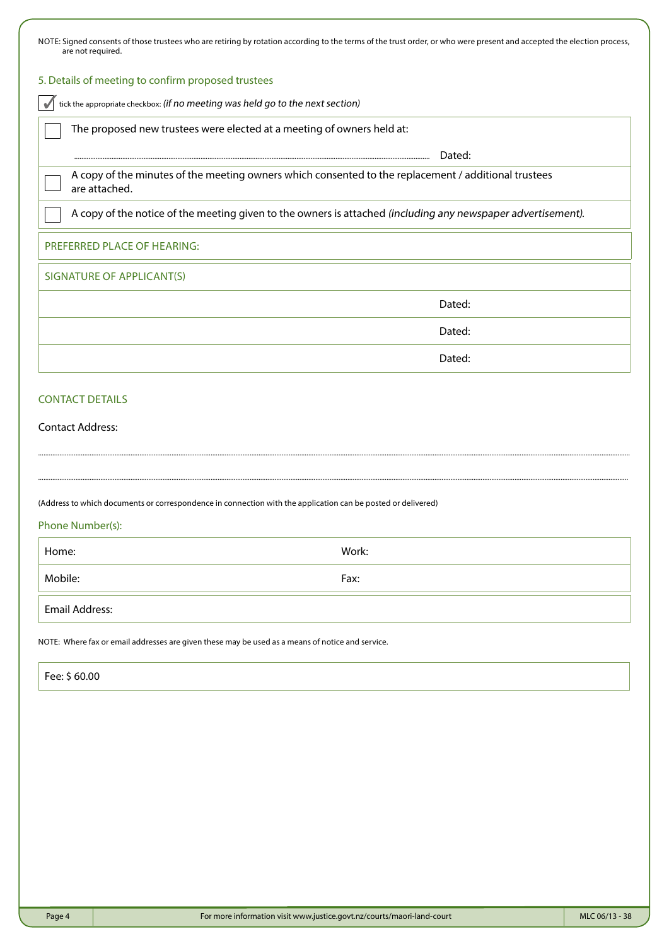| NOTE: Signed consents of those trustees who are retiring by rotation according to the terms of the trust order, or who were present and accepted the election process,<br>are not required. |        |
|---------------------------------------------------------------------------------------------------------------------------------------------------------------------------------------------|--------|
| 5. Details of meeting to confirm proposed trustees                                                                                                                                          |        |
| tick the appropriate checkbox: (if no meeting was held go to the next section)                                                                                                              |        |
| The proposed new trustees were elected at a meeting of owners held at:                                                                                                                      |        |
|                                                                                                                                                                                             | Dated: |
| A copy of the minutes of the meeting owners which consented to the replacement / additional trustees<br>are attached.                                                                       |        |
| A copy of the notice of the meeting given to the owners is attached (including any newspaper advertisement).                                                                                |        |
| PREFERRED PLACE OF HEARING:                                                                                                                                                                 |        |
| <b>SIGNATURE OF APPLICANT(S)</b>                                                                                                                                                            |        |
|                                                                                                                                                                                             | Dated: |
|                                                                                                                                                                                             | Dated: |
|                                                                                                                                                                                             | Dated: |
| <b>CONTACT DETAILS</b>                                                                                                                                                                      |        |
| <b>Contact Address:</b>                                                                                                                                                                     |        |
|                                                                                                                                                                                             |        |
| (Address to which documents or correspondence in connection with the application can be posted or delivered)                                                                                |        |
| Phone Number(s):                                                                                                                                                                            |        |
| Home:                                                                                                                                                                                       | Work:  |
| Mobile:                                                                                                                                                                                     | Fax:   |
| <b>Email Address:</b>                                                                                                                                                                       |        |
| NOTE: Where fax or email addresses are given these may be used as a means of notice and service.                                                                                            |        |
| Fee: \$60.00                                                                                                                                                                                |        |